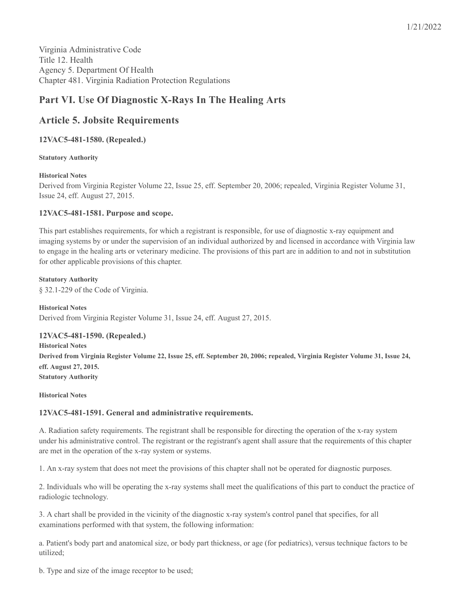# **Part VI. Use Of Diagnostic X-Rays In The Healing Arts**

## **Article 5. Jobsite Requirements**

## **12VAC5-481-1580. (Repealed.)**

## **Statutory Authority**

## **Historical Notes**

Derived from Virginia Register Volume 22, Issue 25, eff. September 20, 2006; repealed, Virginia Register Volume 31, Issue 24, eff. August 27, 2015.

## **12VAC5-481-1581. Purpose and scope.**

This part establishes requirements, for which a registrant is responsible, for use of diagnostic x-ray equipment and imaging systems by or under the supervision of an individual authorized by and licensed in accordance with Virginia law to engage in the healing arts or veterinary medicine. The provisions of this part are in addition to and not in substitution for other applicable provisions of this chapter.

**Statutory Authority** § 32.1-229 of the Code of Virginia.

**Historical Notes** Derived from Virginia Register Volume 31, Issue 24, eff. August 27, 2015.

## **12VAC5-481-1590. (Repealed.)**

**Historical Notes** Derived from Virginia Register Volume 22, Issue 25, eff. September 20, 2006; repealed, Virginia Register Volume 31, Issue 24, **eff. August 27, 2015. Statutory Authority**

#### **Historical Notes**

## **12VAC5-481-1591. General and administrative requirements.**

A. Radiation safety requirements. The registrant shall be responsible for directing the operation of the x-ray system under his administrative control. The registrant or the registrant's agent shall assure that the requirements of this chapter are met in the operation of the x-ray system or systems.

1. An x-ray system that does not meet the provisions of this chapter shall not be operated for diagnostic purposes.

2. Individuals who will be operating the x-ray systems shall meet the qualifications of this part to conduct the practice of radiologic technology.

3. A chart shall be provided in the vicinity of the diagnostic x-ray system's control panel that specifies, for all examinations performed with that system, the following information:

a. Patient's body part and anatomical size, or body part thickness, or age (for pediatrics), versus technique factors to be utilized;

b. Type and size of the image receptor to be used;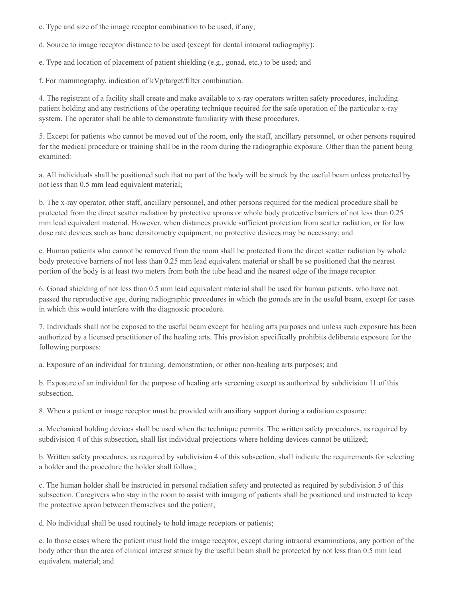- c. Type and size of the image receptor combination to be used, if any;
- d. Source to image receptor distance to be used (except for dental intraoral radiography);
- e. Type and location of placement of patient shielding (e.g., gonad, etc.) to be used; and

f. For mammography, indication of kVp/target/filter combination.

4. The registrant of a facility shall create and make available to x-ray operators written safety procedures, including patient holding and any restrictions of the operating technique required for the safe operation of the particular x-ray system. The operator shall be able to demonstrate familiarity with these procedures.

5. Except for patients who cannot be moved out of the room, only the staff, ancillary personnel, or other persons required for the medical procedure or training shall be in the room during the radiographic exposure. Other than the patient being examined:

a. All individuals shall be positioned such that no part of the body will be struck by the useful beam unless protected by not less than 0.5 mm lead equivalent material;

b. The x-ray operator, other staff, ancillary personnel, and other persons required for the medical procedure shall be protected from the direct scatter radiation by protective aprons or whole body protective barriers of not less than 0.25 mm lead equivalent material. However, when distances provide sufficient protection from scatter radiation, or for low dose rate devices such as bone densitometry equipment, no protective devices may be necessary; and

c. Human patients who cannot be removed from the room shall be protected from the direct scatter radiation by whole body protective barriers of not less than 0.25 mm lead equivalent material or shall be so positioned that the nearest portion of the body is at least two meters from both the tube head and the nearest edge of the image receptor.

6. Gonad shielding of not less than 0.5 mm lead equivalent material shall be used for human patients, who have not passed the reproductive age, during radiographic procedures in which the gonads are in the useful beam, except for cases in which this would interfere with the diagnostic procedure.

7. Individuals shall not be exposed to the useful beam except for healing arts purposes and unless such exposure has been authorized by a licensed practitioner of the healing arts. This provision specifically prohibits deliberate exposure for the following purposes:

a. Exposure of an individual for training, demonstration, or other non-healing arts purposes; and

b. Exposure of an individual for the purpose of healing arts screening except as authorized by subdivision 11 of this subsection.

8. When a patient or image receptor must be provided with auxiliary support during a radiation exposure:

a. Mechanical holding devices shall be used when the technique permits. The written safety procedures, as required by subdivision 4 of this subsection, shall list individual projections where holding devices cannot be utilized;

b. Written safety procedures, as required by subdivision 4 of this subsection, shall indicate the requirements for selecting a holder and the procedure the holder shall follow;

c. The human holder shall be instructed in personal radiation safety and protected as required by subdivision 5 of this subsection. Caregivers who stay in the room to assist with imaging of patients shall be positioned and instructed to keep the protective apron between themselves and the patient;

d. No individual shall be used routinely to hold image receptors or patients;

e. In those cases where the patient must hold the image receptor, except during intraoral examinations, any portion of the body other than the area of clinical interest struck by the useful beam shall be protected by not less than 0.5 mm lead equivalent material; and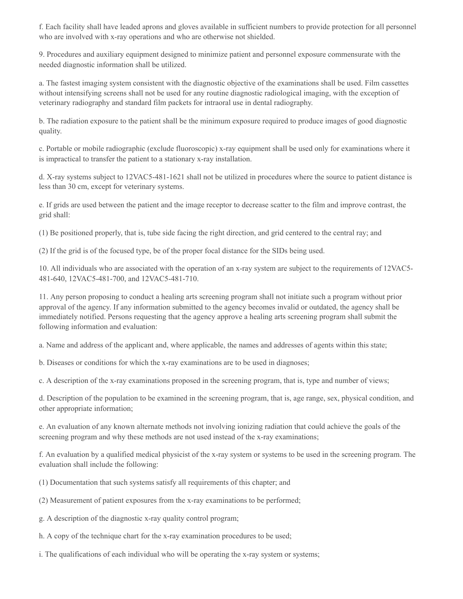f. Each facility shall have leaded aprons and gloves available in sufficient numbers to provide protection for all personnel who are involved with x-ray operations and who are otherwise not shielded.

9. Procedures and auxiliary equipment designed to minimize patient and personnel exposure commensurate with the needed diagnostic information shall be utilized.

a. The fastest imaging system consistent with the diagnostic objective of the examinations shall be used. Film cassettes without intensifying screens shall not be used for any routine diagnostic radiological imaging, with the exception of veterinary radiography and standard film packets for intraoral use in dental radiography.

b. The radiation exposure to the patient shall be the minimum exposure required to produce images of good diagnostic quality.

c. Portable or mobile radiographic (exclude fluoroscopic) x-ray equipment shall be used only for examinations where it is impractical to transfer the patient to a stationary x-ray installation.

d. X-ray systems subject to 12VAC5-481-1621 shall not be utilized in procedures where the source to patient distance is less than 30 cm, except for veterinary systems.

e. If grids are used between the patient and the image receptor to decrease scatter to the film and improve contrast, the grid shall:

(1) Be positioned properly, that is, tube side facing the right direction, and grid centered to the central ray; and

(2) If the grid is of the focused type, be of the proper focal distance for the SIDs being used.

10. All individuals who are associated with the operation of an x-ray system are subject to the requirements of 12VAC5- 481-640, 12VAC5-481-700, and 12VAC5-481-710.

11. Any person proposing to conduct a healing arts screening program shall not initiate such a program without prior approval of the agency. If any information submitted to the agency becomes invalid or outdated, the agency shall be immediately notified. Persons requesting that the agency approve a healing arts screening program shall submit the following information and evaluation:

a. Name and address of the applicant and, where applicable, the names and addresses of agents within this state;

b. Diseases or conditions for which the x-ray examinations are to be used in diagnoses;

c. A description of the x-ray examinations proposed in the screening program, that is, type and number of views;

d. Description of the population to be examined in the screening program, that is, age range, sex, physical condition, and other appropriate information;

e. An evaluation of any known alternate methods not involving ionizing radiation that could achieve the goals of the screening program and why these methods are not used instead of the x-ray examinations;

f. An evaluation by a qualified medical physicist of the x-ray system or systems to be used in the screening program. The evaluation shall include the following:

(1) Documentation that such systems satisfy all requirements of this chapter; and

(2) Measurement of patient exposures from the x-ray examinations to be performed;

g. A description of the diagnostic x-ray quality control program;

h. A copy of the technique chart for the x-ray examination procedures to be used;

i. The qualifications of each individual who will be operating the x-ray system or systems;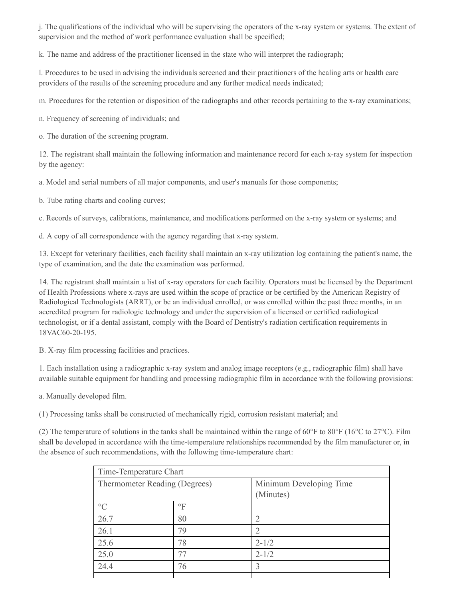j. The qualifications of the individual who will be supervising the operators of the x-ray system or systems. The extent of supervision and the method of work performance evaluation shall be specified;

k. The name and address of the practitioner licensed in the state who will interpret the radiograph;

l. Procedures to be used in advising the individuals screened and their practitioners of the healing arts or health care providers of the results of the screening procedure and any further medical needs indicated;

m. Procedures for the retention or disposition of the radiographs and other records pertaining to the x-ray examinations;

n. Frequency of screening of individuals; and

o. The duration of the screening program.

12. The registrant shall maintain the following information and maintenance record for each x-ray system for inspection by the agency:

a. Model and serial numbers of all major components, and user's manuals for those components;

b. Tube rating charts and cooling curves;

c. Records of surveys, calibrations, maintenance, and modifications performed on the x-ray system or systems; and

d. A copy of all correspondence with the agency regarding that x-ray system.

13. Except for veterinary facilities, each facility shall maintain an x-ray utilization log containing the patient's name, the type of examination, and the date the examination was performed.

14. The registrant shall maintain a list of x-ray operators for each facility. Operators must be licensed by the Department of Health Professions where x-rays are used within the scope of practice or be certified by the American Registry of Radiological Technologists (ARRT), or be an individual enrolled, or was enrolled within the past three months, in an accredited program for radiologic technology and under the supervision of a licensed or certified radiological technologist, or if a dental assistant, comply with the Board of Dentistry's radiation certification requirements in 18VAC60-20-195.

B. X-ray film processing facilities and practices.

1. Each installation using a radiographic x-ray system and analog image receptors (e.g., radiographic film) shall have available suitable equipment for handling and processing radiographic film in accordance with the following provisions:

a. Manually developed film.

(1) Processing tanks shall be constructed of mechanically rigid, corrosion resistant material; and

(2) The temperature of solutions in the tanks shall be maintained within the range of  $60^{\circ}$ F to  $80^{\circ}$ F (16 $^{\circ}$ C to  $27^{\circ}$ C). Film shall be developed in accordance with the time-temperature relationships recommended by the film manufacturer or, in the absence of such recommendations, with the following time-temperature chart:

| Time-Temperature Chart        |           |                                      |  |  |  |
|-------------------------------|-----------|--------------------------------------|--|--|--|
| Thermometer Reading (Degrees) |           | Minimum Developing Time<br>(Minutes) |  |  |  |
|                               |           |                                      |  |  |  |
| $\circ$ C                     | $\circ$ F |                                      |  |  |  |
| 26.7                          | 80        | $\overline{2}$                       |  |  |  |
| 26.1                          | 79        | $\overline{2}$                       |  |  |  |
| 25.6                          | 78        | $2 - 1/2$                            |  |  |  |
| 25.0                          | 77        | $2 - 1/2$                            |  |  |  |
| 24.4                          | 76        | 3                                    |  |  |  |
|                               |           |                                      |  |  |  |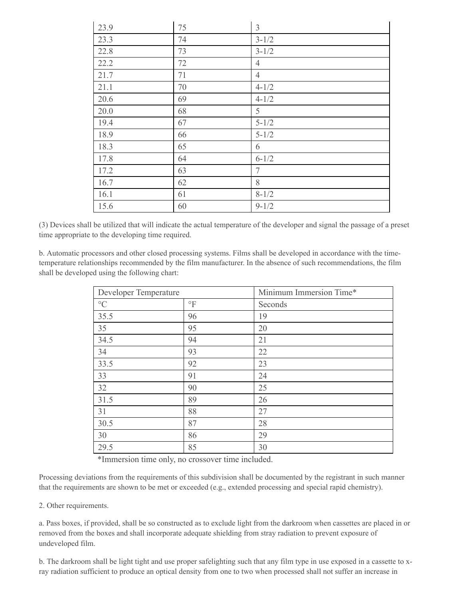| 23.9 | 75 | $\mathfrak{Z}$  |
|------|----|-----------------|
| 23.3 | 74 | $3 - 1/2$       |
| 22.8 | 73 | $3 - 1/2$       |
| 22.2 | 72 | $\overline{4}$  |
| 21.7 | 71 | $\overline{4}$  |
| 21.1 | 70 | $4 - 1/2$       |
| 20.6 | 69 | $4 - 1/2$       |
| 20.0 | 68 | 5               |
| 19.4 | 67 | $5 - 1/2$       |
| 18.9 | 66 | $5 - 1/2$       |
| 18.3 | 65 | 6               |
| 17.8 | 64 | $6 - 1/2$       |
| 17.2 | 63 | $7\phantom{.0}$ |
| 16.7 | 62 | 8               |
| 16.1 | 61 | $8 - 1/2$       |
| 15.6 | 60 | $9 - 1/2$       |

(3) Devices shall be utilized that will indicate the actual temperature of the developer and signal the passage of a preset time appropriate to the developing time required.

b. Automatic processors and other closed processing systems. Films shall be developed in accordance with the timetemperature relationships recommended by the film manufacturer. In the absence of such recommendations, the film shall be developed using the following chart:

| Developer Temperature |              | Minimum Immersion Time* |  |
|-----------------------|--------------|-------------------------|--|
| $\rm ^{\circ}C$       | $\mathrm{P}$ | Seconds                 |  |
| 35.5                  | 96           | 19                      |  |
| 35                    | 95           | 20                      |  |
| 34.5                  | 94           | 21                      |  |
| 34                    | 93           | 22                      |  |
| 33.5                  | 92           | 23                      |  |
| 33                    | 91           | 24                      |  |
| 32                    | 90           | 25                      |  |
| 31.5                  | 89           | 26                      |  |
| 31                    | 88           | 27                      |  |
| 30.5                  | 87           | 28                      |  |
| 30                    | 86           | 29                      |  |
| 29.5                  | 85           | 30                      |  |

\*Immersion time only, no crossover time included.

Processing deviations from the requirements of this subdivision shall be documented by the registrant in such manner that the requirements are shown to be met or exceeded (e.g., extended processing and special rapid chemistry).

2. Other requirements.

a. Pass boxes, if provided, shall be so constructed as to exclude light from the darkroom when cassettes are placed in or removed from the boxes and shall incorporate adequate shielding from stray radiation to prevent exposure of undeveloped film.

b. The darkroom shall be light tight and use proper safelighting such that any film type in use exposed in a cassette to xray radiation sufficient to produce an optical density from one to two when processed shall not suffer an increase in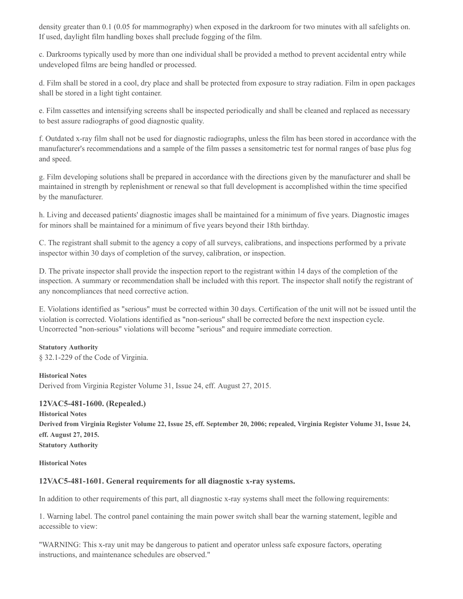density greater than 0.1 (0.05 for mammography) when exposed in the darkroom for two minutes with all safelights on. If used, daylight film handling boxes shall preclude fogging of the film.

c. Darkrooms typically used by more than one individual shall be provided a method to prevent accidental entry while undeveloped films are being handled or processed.

d. Film shall be stored in a cool, dry place and shall be protected from exposure to stray radiation. Film in open packages shall be stored in a light tight container.

e. Film cassettes and intensifying screens shall be inspected periodically and shall be cleaned and replaced as necessary to best assure radiographs of good diagnostic quality.

f. Outdated x-ray film shall not be used for diagnostic radiographs, unless the film has been stored in accordance with the manufacturer's recommendations and a sample of the film passes a sensitometric test for normal ranges of base plus fog and speed.

g. Film developing solutions shall be prepared in accordance with the directions given by the manufacturer and shall be maintained in strength by replenishment or renewal so that full development is accomplished within the time specified by the manufacturer.

h. Living and deceased patients' diagnostic images shall be maintained for a minimum of five years. Diagnostic images for minors shall be maintained for a minimum of five years beyond their 18th birthday.

C. The registrant shall submit to the agency a copy of all surveys, calibrations, and inspections performed by a private inspector within 30 days of completion of the survey, calibration, or inspection.

D. The private inspector shall provide the inspection report to the registrant within 14 days of the completion of the inspection. A summary or recommendation shall be included with this report. The inspector shall notify the registrant of any noncompliances that need corrective action.

E. Violations identified as "serious" must be corrected within 30 days. Certification of the unit will not be issued until the violation is corrected. Violations identified as "non-serious" shall be corrected before the next inspection cycle. Uncorrected "non-serious" violations will become "serious" and require immediate correction.

#### **Statutory Authority**

§ 32.1-229 of the Code of Virginia.

#### **Historical Notes**

Derived from Virginia Register Volume 31, Issue 24, eff. August 27, 2015.

#### **12VAC5-481-1600. (Repealed.)**

**Historical Notes** Derived from Virginia Register Volume 22, Issue 25, eff. September 20, 2006; repealed, Virginia Register Volume 31, Issue 24, **eff. August 27, 2015. Statutory Authority**

#### **Historical Notes**

#### **12VAC5-481-1601. General requirements for all diagnostic x-ray systems.**

In addition to other requirements of this part, all diagnostic x-ray systems shall meet the following requirements:

1. Warning label. The control panel containing the main power switch shall bear the warning statement, legible and accessible to view:

"WARNING: This x-ray unit may be dangerous to patient and operator unless safe exposure factors, operating instructions, and maintenance schedules are observed."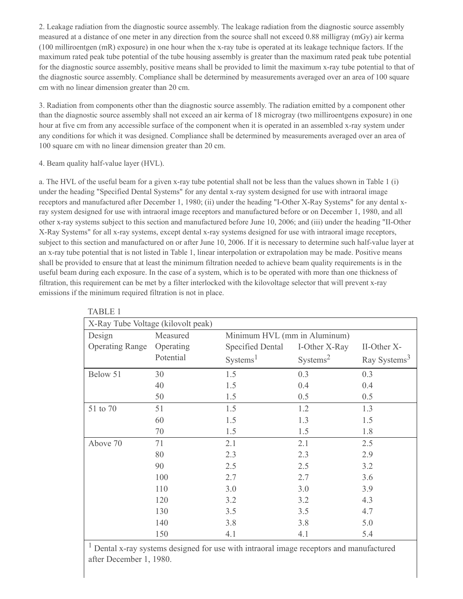2. Leakage radiation from the diagnostic source assembly. The leakage radiation from the diagnostic source assembly measured at a distance of one meter in any direction from the source shall not exceed 0.88 milligray (mGy) air kerma (100 milliroentgen (mR) exposure) in one hour when the x-ray tube is operated at its leakage technique factors. If the maximum rated peak tube potential of the tube housing assembly is greater than the maximum rated peak tube potential for the diagnostic source assembly, positive means shall be provided to limit the maximum x-ray tube potential to that of the diagnostic source assembly. Compliance shall be determined by measurements averaged over an area of 100 square cm with no linear dimension greater than 20 cm.

3. Radiation from components other than the diagnostic source assembly. The radiation emitted by a component other than the diagnostic source assembly shall not exceed an air kerma of 18 microgray (two milliroentgens exposure) in one hour at five cm from any accessible surface of the component when it is operated in an assembled x-ray system under any conditions for which it was designed. Compliance shall be determined by measurements averaged over an area of 100 square cm with no linear dimension greater than 20 cm.

## 4. Beam quality half-value layer (HVL).

a. The HVL of the useful beam for a given x-ray tube potential shall not be less than the values shown in Table 1 (i) under the heading "Specified Dental Systems" for any dental x-ray system designed for use with intraoral image receptors and manufactured after December 1, 1980; (ii) under the heading "I-Other X-Ray Systems" for any dental xray system designed for use with intraoral image receptors and manufactured before or on December 1, 1980, and all other x-ray systems subject to this section and manufactured before June 10, 2006; and (iii) under the heading "II-Other X-Ray Systems" for all x-ray systems, except dental x-ray systems designed for use with intraoral image receptors, subject to this section and manufactured on or after June 10, 2006. If it is necessary to determine such half-value layer at an x-ray tube potential that is not listed in Table 1, linear interpolation or extrapolation may be made. Positive means shall be provided to ensure that at least the minimum filtration needed to achieve beam quality requirements is in the useful beam during each exposure. In the case of a system, which is to be operated with more than one thickness of filtration, this requirement can be met by a filter interlocked with the kilovoltage selector that will prevent x-ray emissions if the minimum required filtration is not in place.

| <b>TABLE 1</b>                     |           |                              |                      |                          |  |  |
|------------------------------------|-----------|------------------------------|----------------------|--------------------------|--|--|
| X-Ray Tube Voltage (kilovolt peak) |           |                              |                      |                          |  |  |
| Design                             | Measured  | Minimum HVL (mm in Aluminum) |                      |                          |  |  |
| <b>Operating Range</b>             | Operating | <b>Specified Dental</b>      | I-Other X-Ray        | II-Other X-              |  |  |
|                                    | Potential | Systems <sup>1</sup>         | Systems <sup>2</sup> | Ray Systems <sup>3</sup> |  |  |
| Below 51                           | 30        | 1.5                          | 0.3                  | 0.3                      |  |  |
|                                    | 40        | 1.5                          | 0.4                  | 0.4                      |  |  |
|                                    | 50        | 1.5                          | 0.5                  | 0.5                      |  |  |
| 51 to 70                           | 51        | 1.5                          | 1.2                  | 1.3                      |  |  |
|                                    | 60        | 1.5                          | 1.3                  | 1.5                      |  |  |
|                                    | 70        | 1.5                          | 1.5                  | 1.8                      |  |  |
| Above 70                           | 71        | 2.1                          | 2.1                  | 2.5                      |  |  |
|                                    | 80        | 2.3                          | 2.3                  | 2.9                      |  |  |
|                                    | 90        | 2.5                          | 2.5                  | 3.2                      |  |  |
|                                    | 100       | 2.7                          | 2.7                  | 3.6                      |  |  |
|                                    | 110       | 3.0                          | 3.0                  | 3.9                      |  |  |
|                                    | 120       | 3.2                          | 3.2                  | 4.3                      |  |  |
|                                    | 130       | 3.5                          | 3.5                  | 4.7                      |  |  |
|                                    | 140       | 3.8                          | 3.8                  | 5.0                      |  |  |
|                                    | 150       | 4.1                          | 4.1                  | 5.4                      |  |  |

<sup>1</sup> Dental x-ray systems designed for use with intraoral image receptors and manufactured after December 1, 1980.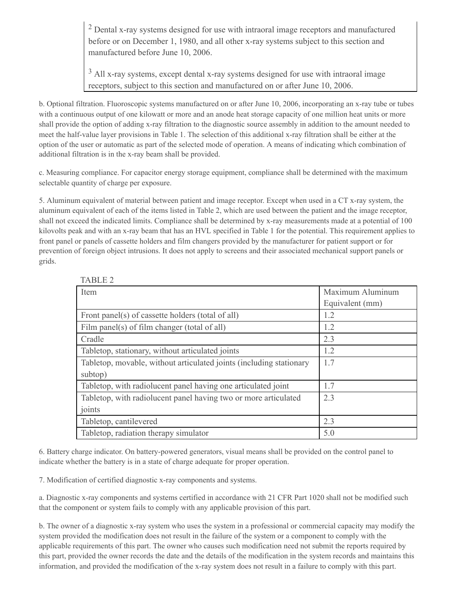<sup>2</sup> Dental x-ray systems designed for use with intraoral image receptors and manufactured before or on December 1, 1980, and all other x-ray systems subject to this section and manufactured before June 10, 2006.

<sup>3</sup> All x-ray systems, except dental x-ray systems designed for use with intraoral image receptors, subject to this section and manufactured on or after June 10, 2006.

b. Optional filtration. Fluoroscopic systems manufactured on or after June 10, 2006, incorporating an x-ray tube or tubes with a continuous output of one kilowatt or more and an anode heat storage capacity of one million heat units or more shall provide the option of adding x-ray filtration to the diagnostic source assembly in addition to the amount needed to meet the half-value layer provisions in Table 1. The selection of this additional x-ray filtration shall be either at the option of the user or automatic as part of the selected mode of operation. A means of indicating which combination of additional filtration is in the x-ray beam shall be provided.

c. Measuring compliance. For capacitor energy storage equipment, compliance shall be determined with the maximum selectable quantity of charge per exposure.

5. Aluminum equivalent of material between patient and image receptor. Except when used in a CT x-ray system, the aluminum equivalent of each of the items listed in Table 2, which are used between the patient and the image receptor, shall not exceed the indicated limits. Compliance shall be determined by x-ray measurements made at a potential of 100 kilovolts peak and with an x-ray beam that has an HVL specified in Table 1 for the potential. This requirement applies to front panel or panels of cassette holders and film changers provided by the manufacturer for patient support or for prevention of foreign object intrusions. It does not apply to screens and their associated mechanical support panels or grids.

| IADLEZ                                                              |                  |  |
|---------------------------------------------------------------------|------------------|--|
| Item                                                                | Maximum Aluminum |  |
|                                                                     | Equivalent (mm)  |  |
| Front panel(s) of cassette holders (total of all)                   | 1.2              |  |
| Film panel(s) of film changer (total of all)                        | 1.2              |  |
| Cradle                                                              | 2.3              |  |
| Tabletop, stationary, without articulated joints                    | 1.2              |  |
| Tabletop, movable, without articulated joints (including stationary | 1.7              |  |
| subtop)                                                             |                  |  |
| Tabletop, with radiolucent panel having one articulated joint       | 1.7              |  |
| Tabletop, with radiolucent panel having two or more articulated     | 2.3              |  |
| joints                                                              |                  |  |
| Tabletop, cantilevered                                              | 2.3              |  |
| Tabletop, radiation therapy simulator                               | 5.0              |  |

TADIE 2

6. Battery charge indicator. On battery-powered generators, visual means shall be provided on the control panel to indicate whether the battery is in a state of charge adequate for proper operation.

7. Modification of certified diagnostic x-ray components and systems.

a. Diagnostic x-ray components and systems certified in accordance with 21 CFR Part 1020 shall not be modified such that the component or system fails to comply with any applicable provision of this part.

b. The owner of a diagnostic x-ray system who uses the system in a professional or commercial capacity may modify the system provided the modification does not result in the failure of the system or a component to comply with the applicable requirements of this part. The owner who causes such modification need not submit the reports required by this part, provided the owner records the date and the details of the modification in the system records and maintains this information, and provided the modification of the x-ray system does not result in a failure to comply with this part.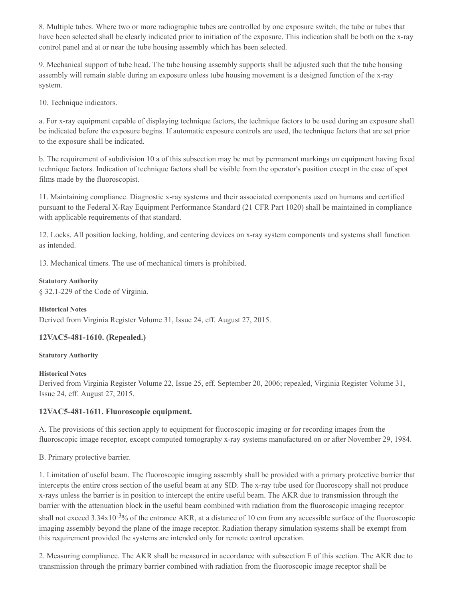8. Multiple tubes. Where two or more radiographic tubes are controlled by one exposure switch, the tube or tubes that have been selected shall be clearly indicated prior to initiation of the exposure. This indication shall be both on the x-ray control panel and at or near the tube housing assembly which has been selected.

9. Mechanical support of tube head. The tube housing assembly supports shall be adjusted such that the tube housing assembly will remain stable during an exposure unless tube housing movement is a designed function of the x-ray system.

10. Technique indicators.

a. For x-ray equipment capable of displaying technique factors, the technique factors to be used during an exposure shall be indicated before the exposure begins. If automatic exposure controls are used, the technique factors that are set prior to the exposure shall be indicated.

b. The requirement of subdivision 10 a of this subsection may be met by permanent markings on equipment having fixed technique factors. Indication of technique factors shall be visible from the operator's position except in the case of spot films made by the fluoroscopist.

11. Maintaining compliance. Diagnostic x-ray systems and their associated components used on humans and certified pursuant to the Federal X-Ray Equipment Performance Standard (21 CFR Part 1020) shall be maintained in compliance with applicable requirements of that standard.

12. Locks. All position locking, holding, and centering devices on x-ray system components and systems shall function as intended.

13. Mechanical timers. The use of mechanical timers is prohibited.

#### **Statutory Authority**

§ 32.1-229 of the Code of Virginia.

## **Historical Notes**

Derived from Virginia Register Volume 31, Issue 24, eff. August 27, 2015.

## **12VAC5-481-1610. (Repealed.)**

#### **Statutory Authority**

#### **Historical Notes**

Derived from Virginia Register Volume 22, Issue 25, eff. September 20, 2006; repealed, Virginia Register Volume 31, Issue 24, eff. August 27, 2015.

## **12VAC5-481-1611. Fluoroscopic equipment.**

A. The provisions of this section apply to equipment for fluoroscopic imaging or for recording images from the fluoroscopic image receptor, except computed tomography x-ray systems manufactured on or after November 29, 1984.

#### B. Primary protective barrier.

1. Limitation of useful beam. The fluoroscopic imaging assembly shall be provided with a primary protective barrier that intercepts the entire cross section of the useful beam at any SID. The x-ray tube used for fluoroscopy shall not produce x-rays unless the barrier is in position to intercept the entire useful beam. The AKR due to transmission through the barrier with the attenuation block in the useful beam combined with radiation from the fluoroscopic imaging receptor shall not exceed  $3.34x10^{-3}$ % of the entrance AKR, at a distance of 10 cm from any accessible surface of the fluoroscopic imaging assembly beyond the plane of the image receptor. Radiation therapy simulation systems shall be exempt from this requirement provided the systems are intended only for remote control operation.

2. Measuring compliance. The AKR shall be measured in accordance with subsection E of this section. The AKR due to transmission through the primary barrier combined with radiation from the fluoroscopic image receptor shall be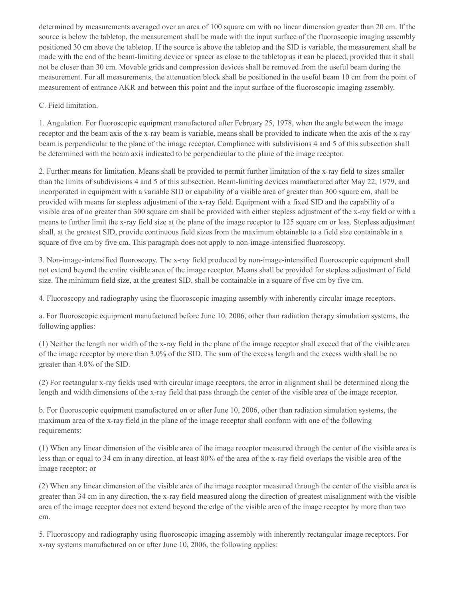determined by measurements averaged over an area of 100 square cm with no linear dimension greater than 20 cm. If the source is below the tabletop, the measurement shall be made with the input surface of the fluoroscopic imaging assembly positioned 30 cm above the tabletop. If the source is above the tabletop and the SID is variable, the measurement shall be made with the end of the beam-limiting device or spacer as close to the tabletop as it can be placed, provided that it shall not be closer than 30 cm. Movable grids and compression devices shall be removed from the useful beam during the measurement. For all measurements, the attenuation block shall be positioned in the useful beam 10 cm from the point of measurement of entrance AKR and between this point and the input surface of the fluoroscopic imaging assembly.

#### C. Field limitation.

1. Angulation. For fluoroscopic equipment manufactured after February 25, 1978, when the angle between the image receptor and the beam axis of the x-ray beam is variable, means shall be provided to indicate when the axis of the x-ray beam is perpendicular to the plane of the image receptor. Compliance with subdivisions 4 and 5 of this subsection shall be determined with the beam axis indicated to be perpendicular to the plane of the image receptor.

2. Further means for limitation. Means shall be provided to permit further limitation of the x-ray field to sizes smaller than the limits of subdivisions 4 and 5 of this subsection. Beam-limiting devices manufactured after May 22, 1979, and incorporated in equipment with a variable SID or capability of a visible area of greater than 300 square cm, shall be provided with means for stepless adjustment of the x-ray field. Equipment with a fixed SID and the capability of a visible area of no greater than 300 square cm shall be provided with either stepless adjustment of the x-ray field or with a means to further limit the x-ray field size at the plane of the image receptor to 125 square cm or less. Stepless adjustment shall, at the greatest SID, provide continuous field sizes from the maximum obtainable to a field size containable in a square of five cm by five cm. This paragraph does not apply to non-image-intensified fluoroscopy.

3. Non-image-intensified fluoroscopy. The x-ray field produced by non-image-intensified fluoroscopic equipment shall not extend beyond the entire visible area of the image receptor. Means shall be provided for stepless adjustment of field size. The minimum field size, at the greatest SID, shall be containable in a square of five cm by five cm.

4. Fluoroscopy and radiography using the fluoroscopic imaging assembly with inherently circular image receptors.

a. For fluoroscopic equipment manufactured before June 10, 2006, other than radiation therapy simulation systems, the following applies:

(1) Neither the length nor width of the x-ray field in the plane of the image receptor shall exceed that of the visible area of the image receptor by more than 3.0% of the SID. The sum of the excess length and the excess width shall be no greater than 4.0% of the SID.

(2) For rectangular x-ray fields used with circular image receptors, the error in alignment shall be determined along the length and width dimensions of the x-ray field that pass through the center of the visible area of the image receptor.

b. For fluoroscopic equipment manufactured on or after June 10, 2006, other than radiation simulation systems, the maximum area of the x-ray field in the plane of the image receptor shall conform with one of the following requirements:

(1) When any linear dimension of the visible area of the image receptor measured through the center of the visible area is less than or equal to 34 cm in any direction, at least 80% of the area of the x-ray field overlaps the visible area of the image receptor; or

(2) When any linear dimension of the visible area of the image receptor measured through the center of the visible area is greater than 34 cm in any direction, the x-ray field measured along the direction of greatest misalignment with the visible area of the image receptor does not extend beyond the edge of the visible area of the image receptor by more than two cm.

5. Fluoroscopy and radiography using fluoroscopic imaging assembly with inherently rectangular image receptors. For x-ray systems manufactured on or after June 10, 2006, the following applies: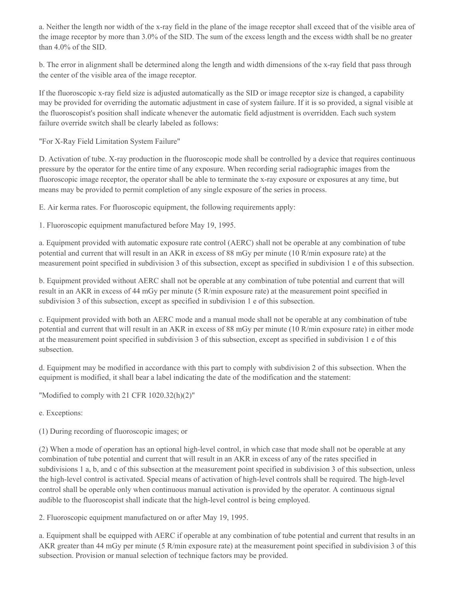a. Neither the length nor width of the x-ray field in the plane of the image receptor shall exceed that of the visible area of the image receptor by more than 3.0% of the SID. The sum of the excess length and the excess width shall be no greater than 4.0% of the SID.

b. The error in alignment shall be determined along the length and width dimensions of the x-ray field that pass through the center of the visible area of the image receptor.

If the fluoroscopic x-ray field size is adjusted automatically as the SID or image receptor size is changed, a capability may be provided for overriding the automatic adjustment in case of system failure. If it is so provided, a signal visible at the fluoroscopist's position shall indicate whenever the automatic field adjustment is overridden. Each such system failure override switch shall be clearly labeled as follows:

"For X-Ray Field Limitation System Failure"

D. Activation of tube. X-ray production in the fluoroscopic mode shall be controlled by a device that requires continuous pressure by the operator for the entire time of any exposure. When recording serial radiographic images from the fluoroscopic image receptor, the operator shall be able to terminate the x-ray exposure or exposures at any time, but means may be provided to permit completion of any single exposure of the series in process.

E. Air kerma rates. For fluoroscopic equipment, the following requirements apply:

1. Fluoroscopic equipment manufactured before May 19, 1995.

a. Equipment provided with automatic exposure rate control (AERC) shall not be operable at any combination of tube potential and current that will result in an AKR in excess of 88 mGy per minute (10 R/min exposure rate) at the measurement point specified in subdivision 3 of this subsection, except as specified in subdivision 1 e of this subsection.

b. Equipment provided without AERC shall not be operable at any combination of tube potential and current that will result in an AKR in excess of 44 mGy per minute (5 R/min exposure rate) at the measurement point specified in subdivision 3 of this subsection, except as specified in subdivision 1 e of this subsection.

c. Equipment provided with both an AERC mode and a manual mode shall not be operable at any combination of tube potential and current that will result in an AKR in excess of 88 mGy per minute (10 R/min exposure rate) in either mode at the measurement point specified in subdivision 3 of this subsection, except as specified in subdivision 1 e of this subsection.

d. Equipment may be modified in accordance with this part to comply with subdivision 2 of this subsection. When the equipment is modified, it shall bear a label indicating the date of the modification and the statement:

"Modified to comply with 21 CFR 1020.32(h)(2)"

e. Exceptions:

(1) During recording of fluoroscopic images; or

(2) When a mode of operation has an optional high-level control, in which case that mode shall not be operable at any combination of tube potential and current that will result in an AKR in excess of any of the rates specified in subdivisions 1 a, b, and c of this subsection at the measurement point specified in subdivision 3 of this subsection, unless the high-level control is activated. Special means of activation of high-level controls shall be required. The high-level control shall be operable only when continuous manual activation is provided by the operator. A continuous signal audible to the fluoroscopist shall indicate that the high-level control is being employed.

2. Fluoroscopic equipment manufactured on or after May 19, 1995.

a. Equipment shall be equipped with AERC if operable at any combination of tube potential and current that results in an AKR greater than 44 mGy per minute (5 R/min exposure rate) at the measurement point specified in subdivision 3 of this subsection. Provision or manual selection of technique factors may be provided.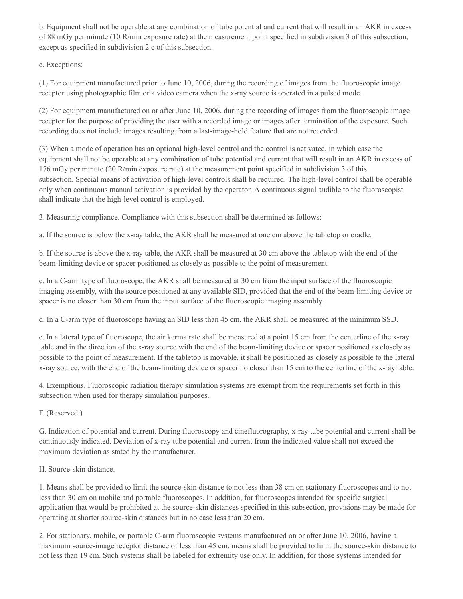b. Equipment shall not be operable at any combination of tube potential and current that will result in an AKR in excess of 88 mGy per minute (10 R/min exposure rate) at the measurement point specified in subdivision 3 of this subsection, except as specified in subdivision 2 c of this subsection.

c. Exceptions:

(1) For equipment manufactured prior to June 10, 2006, during the recording of images from the fluoroscopic image receptor using photographic film or a video camera when the x-ray source is operated in a pulsed mode.

(2) For equipment manufactured on or after June 10, 2006, during the recording of images from the fluoroscopic image receptor for the purpose of providing the user with a recorded image or images after termination of the exposure. Such recording does not include images resulting from a last-image-hold feature that are not recorded.

(3) When a mode of operation has an optional high-level control and the control is activated, in which case the equipment shall not be operable at any combination of tube potential and current that will result in an AKR in excess of 176 mGy per minute (20 R/min exposure rate) at the measurement point specified in subdivision 3 of this subsection. Special means of activation of high-level controls shall be required. The high-level control shall be operable only when continuous manual activation is provided by the operator. A continuous signal audible to the fluoroscopist shall indicate that the high-level control is employed.

3. Measuring compliance. Compliance with this subsection shall be determined as follows:

a. If the source is below the x-ray table, the AKR shall be measured at one cm above the tabletop or cradle.

b. If the source is above the x-ray table, the AKR shall be measured at 30 cm above the tabletop with the end of the beam-limiting device or spacer positioned as closely as possible to the point of measurement.

c. In a C-arm type of fluoroscope, the AKR shall be measured at 30 cm from the input surface of the fluoroscopic imaging assembly, with the source positioned at any available SID, provided that the end of the beam-limiting device or spacer is no closer than 30 cm from the input surface of the fluoroscopic imaging assembly.

d. In a C-arm type of fluoroscope having an SID less than 45 cm, the AKR shall be measured at the minimum SSD.

e. In a lateral type of fluoroscope, the air kerma rate shall be measured at a point 15 cm from the centerline of the x-ray table and in the direction of the x-ray source with the end of the beam-limiting device or spacer positioned as closely as possible to the point of measurement. If the tabletop is movable, it shall be positioned as closely as possible to the lateral x-ray source, with the end of the beam-limiting device or spacer no closer than 15 cm to the centerline of the x-ray table.

4. Exemptions. Fluoroscopic radiation therapy simulation systems are exempt from the requirements set forth in this subsection when used for therapy simulation purposes.

F. (Reserved.)

G. Indication of potential and current. During fluoroscopy and cinefluorography, x-ray tube potential and current shall be continuously indicated. Deviation of x-ray tube potential and current from the indicated value shall not exceed the maximum deviation as stated by the manufacturer.

## H. Source-skin distance.

1. Means shall be provided to limit the source-skin distance to not less than 38 cm on stationary fluoroscopes and to not less than 30 cm on mobile and portable fluoroscopes. In addition, for fluoroscopes intended for specific surgical application that would be prohibited at the source-skin distances specified in this subsection, provisions may be made for operating at shorter source-skin distances but in no case less than 20 cm.

2. For stationary, mobile, or portable C-arm fluoroscopic systems manufactured on or after June 10, 2006, having a maximum source-image receptor distance of less than 45 cm, means shall be provided to limit the source-skin distance to not less than 19 cm. Such systems shall be labeled for extremity use only. In addition, for those systems intended for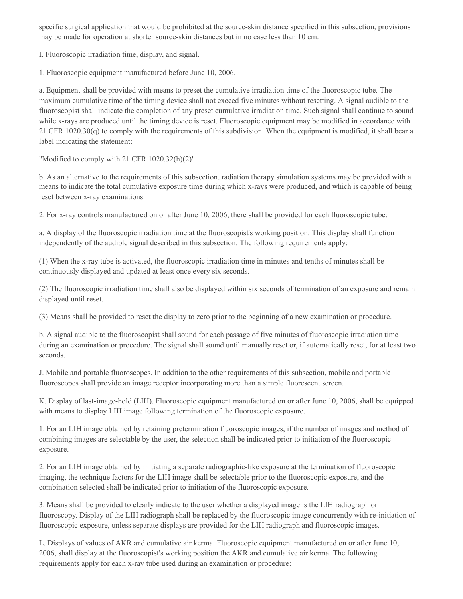specific surgical application that would be prohibited at the source-skin distance specified in this subsection, provisions may be made for operation at shorter source-skin distances but in no case less than 10 cm.

I. Fluoroscopic irradiation time, display, and signal.

1. Fluoroscopic equipment manufactured before June 10, 2006.

a. Equipment shall be provided with means to preset the cumulative irradiation time of the fluoroscopic tube. The maximum cumulative time of the timing device shall not exceed five minutes without resetting. A signal audible to the fluoroscopist shall indicate the completion of any preset cumulative irradiation time. Such signal shall continue to sound while x-rays are produced until the timing device is reset. Fluoroscopic equipment may be modified in accordance with 21 CFR 1020.30(q) to comply with the requirements of this subdivision. When the equipment is modified, it shall bear a label indicating the statement:

"Modified to comply with 21 CFR 1020.32(h)(2)"

b. As an alternative to the requirements of this subsection, radiation therapy simulation systems may be provided with a means to indicate the total cumulative exposure time during which x-rays were produced, and which is capable of being reset between x-ray examinations.

2. For x-ray controls manufactured on or after June 10, 2006, there shall be provided for each fluoroscopic tube:

a. A display of the fluoroscopic irradiation time at the fluoroscopist's working position. This display shall function independently of the audible signal described in this subsection. The following requirements apply:

(1) When the x-ray tube is activated, the fluoroscopic irradiation time in minutes and tenths of minutes shall be continuously displayed and updated at least once every six seconds.

(2) The fluoroscopic irradiation time shall also be displayed within six seconds of termination of an exposure and remain displayed until reset.

(3) Means shall be provided to reset the display to zero prior to the beginning of a new examination or procedure.

b. A signal audible to the fluoroscopist shall sound for each passage of five minutes of fluoroscopic irradiation time during an examination or procedure. The signal shall sound until manually reset or, if automatically reset, for at least two seconds.

J. Mobile and portable fluoroscopes. In addition to the other requirements of this subsection, mobile and portable fluoroscopes shall provide an image receptor incorporating more than a simple fluorescent screen.

K. Display of last-image-hold (LIH). Fluoroscopic equipment manufactured on or after June 10, 2006, shall be equipped with means to display LIH image following termination of the fluoroscopic exposure.

1. For an LIH image obtained by retaining pretermination fluoroscopic images, if the number of images and method of combining images are selectable by the user, the selection shall be indicated prior to initiation of the fluoroscopic exposure.

2. For an LIH image obtained by initiating a separate radiographic-like exposure at the termination of fluoroscopic imaging, the technique factors for the LIH image shall be selectable prior to the fluoroscopic exposure, and the combination selected shall be indicated prior to initiation of the fluoroscopic exposure.

3. Means shall be provided to clearly indicate to the user whether a displayed image is the LIH radiograph or fluoroscopy. Display of the LIH radiograph shall be replaced by the fluoroscopic image concurrently with re-initiation of fluoroscopic exposure, unless separate displays are provided for the LIH radiograph and fluoroscopic images.

L. Displays of values of AKR and cumulative air kerma. Fluoroscopic equipment manufactured on or after June 10, 2006, shall display at the fluoroscopist's working position the AKR and cumulative air kerma. The following requirements apply for each x-ray tube used during an examination or procedure: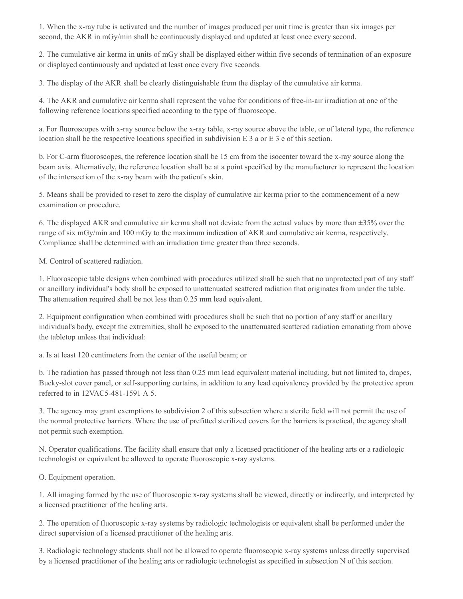1. When the x-ray tube is activated and the number of images produced per unit time is greater than six images per second, the AKR in mGy/min shall be continuously displayed and updated at least once every second.

2. The cumulative air kerma in units of mGy shall be displayed either within five seconds of termination of an exposure or displayed continuously and updated at least once every five seconds.

3. The display of the AKR shall be clearly distinguishable from the display of the cumulative air kerma.

4. The AKR and cumulative air kerma shall represent the value for conditions of free-in-air irradiation at one of the following reference locations specified according to the type of fluoroscope.

a. For fluoroscopes with x-ray source below the x-ray table, x-ray source above the table, or of lateral type, the reference location shall be the respective locations specified in subdivision E 3 a or E 3 e of this section.

b. For C-arm fluoroscopes, the reference location shall be 15 cm from the isocenter toward the x-ray source along the beam axis. Alternatively, the reference location shall be at a point specified by the manufacturer to represent the location of the intersection of the x-ray beam with the patient's skin.

5. Means shall be provided to reset to zero the display of cumulative air kerma prior to the commencement of a new examination or procedure.

6. The displayed AKR and cumulative air kerma shall not deviate from the actual values by more than ±35% over the range of six mGy/min and 100 mGy to the maximum indication of AKR and cumulative air kerma, respectively. Compliance shall be determined with an irradiation time greater than three seconds.

M. Control of scattered radiation.

1. Fluoroscopic table designs when combined with procedures utilized shall be such that no unprotected part of any staff or ancillary individual's body shall be exposed to unattenuated scattered radiation that originates from under the table. The attenuation required shall be not less than 0.25 mm lead equivalent.

2. Equipment configuration when combined with procedures shall be such that no portion of any staff or ancillary individual's body, except the extremities, shall be exposed to the unattenuated scattered radiation emanating from above the tabletop unless that individual:

a. Is at least 120 centimeters from the center of the useful beam; or

b. The radiation has passed through not less than 0.25 mm lead equivalent material including, but not limited to, drapes, Bucky-slot cover panel, or self-supporting curtains, in addition to any lead equivalency provided by the protective apron referred to in 12VAC5-481-1591 A 5.

3. The agency may grant exemptions to subdivision 2 of this subsection where a sterile field will not permit the use of the normal protective barriers. Where the use of prefitted sterilized covers for the barriers is practical, the agency shall not permit such exemption.

N. Operator qualifications. The facility shall ensure that only a licensed practitioner of the healing arts or a radiologic technologist or equivalent be allowed to operate fluoroscopic x-ray systems.

O. Equipment operation.

1. All imaging formed by the use of fluoroscopic x-ray systems shall be viewed, directly or indirectly, and interpreted by a licensed practitioner of the healing arts.

2. The operation of fluoroscopic x-ray systems by radiologic technologists or equivalent shall be performed under the direct supervision of a licensed practitioner of the healing arts.

3. Radiologic technology students shall not be allowed to operate fluoroscopic x-ray systems unless directly supervised by a licensed practitioner of the healing arts or radiologic technologist as specified in subsection N of this section.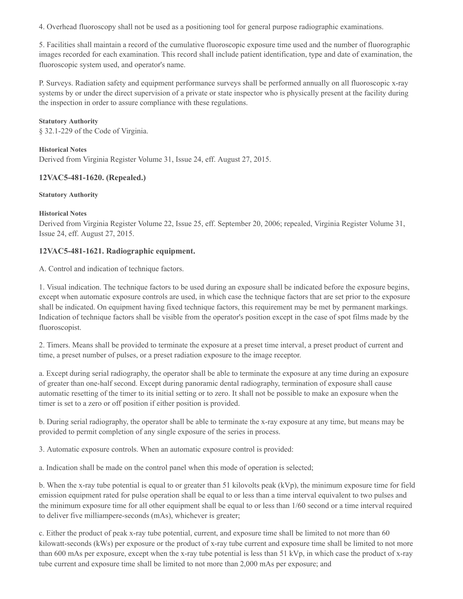4. Overhead fluoroscopy shall not be used as a positioning tool for general purpose radiographic examinations.

5. Facilities shall maintain a record of the cumulative fluoroscopic exposure time used and the number of fluorographic images recorded for each examination. This record shall include patient identification, type and date of examination, the fluoroscopic system used, and operator's name.

P. Surveys. Radiation safety and equipment performance surveys shall be performed annually on all fluoroscopic x-ray systems by or under the direct supervision of a private or state inspector who is physically present at the facility during the inspection in order to assure compliance with these regulations.

#### **Statutory Authority**

§ 32.1-229 of the Code of Virginia.

#### **Historical Notes**

Derived from Virginia Register Volume 31, Issue 24, eff. August 27, 2015.

## **12VAC5-481-1620. (Repealed.)**

#### **Statutory Authority**

#### **Historical Notes**

Derived from Virginia Register Volume 22, Issue 25, eff. September 20, 2006; repealed, Virginia Register Volume 31, Issue 24, eff. August 27, 2015.

## **12VAC5-481-1621. Radiographic equipment.**

A. Control and indication of technique factors.

1. Visual indication. The technique factors to be used during an exposure shall be indicated before the exposure begins, except when automatic exposure controls are used, in which case the technique factors that are set prior to the exposure shall be indicated. On equipment having fixed technique factors, this requirement may be met by permanent markings. Indication of technique factors shall be visible from the operator's position except in the case of spot films made by the fluoroscopist.

2. Timers. Means shall be provided to terminate the exposure at a preset time interval, a preset product of current and time, a preset number of pulses, or a preset radiation exposure to the image receptor.

a. Except during serial radiography, the operator shall be able to terminate the exposure at any time during an exposure of greater than one-half second. Except during panoramic dental radiography, termination of exposure shall cause automatic resetting of the timer to its initial setting or to zero. It shall not be possible to make an exposure when the timer is set to a zero or off position if either position is provided.

b. During serial radiography, the operator shall be able to terminate the x-ray exposure at any time, but means may be provided to permit completion of any single exposure of the series in process.

3. Automatic exposure controls. When an automatic exposure control is provided:

a. Indication shall be made on the control panel when this mode of operation is selected;

b. When the x-ray tube potential is equal to or greater than 51 kilovolts peak (kVp), the minimum exposure time for field emission equipment rated for pulse operation shall be equal to or less than a time interval equivalent to two pulses and the minimum exposure time for all other equipment shall be equal to or less than 1/60 second or a time interval required to deliver five milliampere-seconds (mAs), whichever is greater;

c. Either the product of peak x-ray tube potential, current, and exposure time shall be limited to not more than 60 kilowatt-seconds (kWs) per exposure or the product of x-ray tube current and exposure time shall be limited to not more than 600 mAs per exposure, except when the x-ray tube potential is less than 51 kVp, in which case the product of x-ray tube current and exposure time shall be limited to not more than 2,000 mAs per exposure; and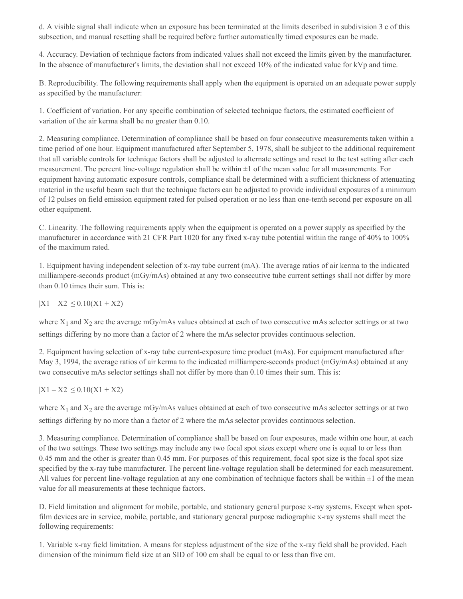d. A visible signal shall indicate when an exposure has been terminated at the limits described in subdivision 3 c of this subsection, and manual resetting shall be required before further automatically timed exposures can be made.

4. Accuracy. Deviation of technique factors from indicated values shall not exceed the limits given by the manufacturer. In the absence of manufacturer's limits, the deviation shall not exceed 10% of the indicated value for kVp and time.

B. Reproducibility. The following requirements shall apply when the equipment is operated on an adequate power supply as specified by the manufacturer:

1. Coefficient of variation. For any specific combination of selected technique factors, the estimated coefficient of variation of the air kerma shall be no greater than 0.10.

2. Measuring compliance. Determination of compliance shall be based on four consecutive measurements taken within a time period of one hour. Equipment manufactured after September 5, 1978, shall be subject to the additional requirement that all variable controls for technique factors shall be adjusted to alternate settings and reset to the test setting after each measurement. The percent line-voltage regulation shall be within  $\pm 1$  of the mean value for all measurements. For equipment having automatic exposure controls, compliance shall be determined with a sufficient thickness of attenuating material in the useful beam such that the technique factors can be adjusted to provide individual exposures of a minimum of 12 pulses on field emission equipment rated for pulsed operation or no less than one-tenth second per exposure on all other equipment.

C. Linearity. The following requirements apply when the equipment is operated on a power supply as specified by the manufacturer in accordance with 21 CFR Part 1020 for any fixed x-ray tube potential within the range of 40% to 100% of the maximum rated.

1. Equipment having independent selection of x-ray tube current (mA). The average ratios of air kerma to the indicated milliampere-seconds product (mGy/mAs) obtained at any two consecutive tube current settings shall not differ by more than 0.10 times their sum. This is:

 $|X1 - X2| \leq 0.10(X1 + X2)$ 

where  $X_1$  and  $X_2$  are the average mGy/mAs values obtained at each of two consecutive mAs selector settings or at two settings differing by no more than a factor of 2 where the mAs selector provides continuous selection.

2. Equipment having selection of x-ray tube current-exposure time product (mAs). For equipment manufactured after May 3, 1994, the average ratios of air kerma to the indicated milliampere-seconds product (mGy/mAs) obtained at any two consecutive mAs selector settings shall not differ by more than 0.10 times their sum. This is:

 $|X1 - X2| \leq 0.10(X1 + X2)$ 

where  $X_1$  and  $X_2$  are the average mGy/mAs values obtained at each of two consecutive mAs selector settings or at two settings differing by no more than a factor of 2 where the mAs selector provides continuous selection.

3. Measuring compliance. Determination of compliance shall be based on four exposures, made within one hour, at each of the two settings. These two settings may include any two focal spot sizes except where one is equal to or less than 0.45 mm and the other is greater than 0.45 mm. For purposes of this requirement, focal spot size is the focal spot size specified by the x-ray tube manufacturer. The percent line-voltage regulation shall be determined for each measurement. All values for percent line-voltage regulation at any one combination of technique factors shall be within  $\pm 1$  of the mean value for all measurements at these technique factors.

D. Field limitation and alignment for mobile, portable, and stationary general purpose x-ray systems. Except when spotfilm devices are in service, mobile, portable, and stationary general purpose radiographic x-ray systems shall meet the following requirements:

1. Variable x-ray field limitation. A means for stepless adjustment of the size of the x-ray field shall be provided. Each dimension of the minimum field size at an SID of 100 cm shall be equal to or less than five cm.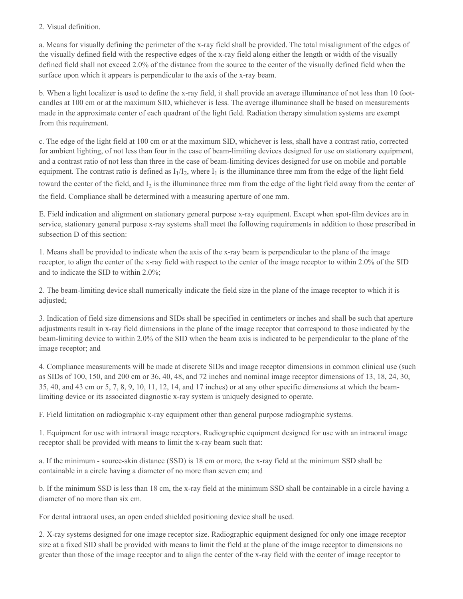## 2. Visual definition.

a. Means for visually defining the perimeter of the x-ray field shall be provided. The total misalignment of the edges of the visually defined field with the respective edges of the x-ray field along either the length or width of the visually defined field shall not exceed 2.0% of the distance from the source to the center of the visually defined field when the surface upon which it appears is perpendicular to the axis of the x-ray beam.

b. When a light localizer is used to define the x-ray field, it shall provide an average illuminance of not less than 10 footcandles at 100 cm or at the maximum SID, whichever is less. The average illuminance shall be based on measurements made in the approximate center of each quadrant of the light field. Radiation therapy simulation systems are exempt from this requirement.

c. The edge of the light field at 100 cm or at the maximum SID, whichever is less, shall have a contrast ratio, corrected for ambient lighting, of not less than four in the case of beam-limiting devices designed for use on stationary equipment, and a contrast ratio of not less than three in the case of beam-limiting devices designed for use on mobile and portable equipment. The contrast ratio is defined as  $I_1/I_2$ , where  $I_1$  is the illuminance three mm from the edge of the light field toward the center of the field, and  $I_2$  is the illuminance three mm from the edge of the light field away from the center of the field. Compliance shall be determined with a measuring aperture of one mm.

E. Field indication and alignment on stationary general purpose x-ray equipment. Except when spot-film devices are in service, stationary general purpose x-ray systems shall meet the following requirements in addition to those prescribed in subsection D of this section:

1. Means shall be provided to indicate when the axis of the x-ray beam is perpendicular to the plane of the image receptor, to align the center of the x-ray field with respect to the center of the image receptor to within 2.0% of the SID and to indicate the SID to within 2.0%;

2. The beam-limiting device shall numerically indicate the field size in the plane of the image receptor to which it is adjusted;

3. Indication of field size dimensions and SIDs shall be specified in centimeters or inches and shall be such that aperture adjustments result in x-ray field dimensions in the plane of the image receptor that correspond to those indicated by the beam-limiting device to within 2.0% of the SID when the beam axis is indicated to be perpendicular to the plane of the image receptor; and

4. Compliance measurements will be made at discrete SIDs and image receptor dimensions in common clinical use (such as SIDs of 100, 150, and 200 cm or 36, 40, 48, and 72 inches and nominal image receptor dimensions of 13, 18, 24, 30, 35, 40, and 43 cm or 5, 7, 8, 9, 10, 11, 12, 14, and 17 inches) or at any other specific dimensions at which the beamlimiting device or its associated diagnostic x-ray system is uniquely designed to operate.

F. Field limitation on radiographic x-ray equipment other than general purpose radiographic systems.

1. Equipment for use with intraoral image receptors. Radiographic equipment designed for use with an intraoral image receptor shall be provided with means to limit the x-ray beam such that:

a. If the minimum - source-skin distance (SSD) is 18 cm or more, the x-ray field at the minimum SSD shall be containable in a circle having a diameter of no more than seven cm; and

b. If the minimum SSD is less than 18 cm, the x-ray field at the minimum SSD shall be containable in a circle having a diameter of no more than six cm.

For dental intraoral uses, an open ended shielded positioning device shall be used.

2. X-ray systems designed for one image receptor size. Radiographic equipment designed for only one image receptor size at a fixed SID shall be provided with means to limit the field at the plane of the image receptor to dimensions no greater than those of the image receptor and to align the center of the x-ray field with the center of image receptor to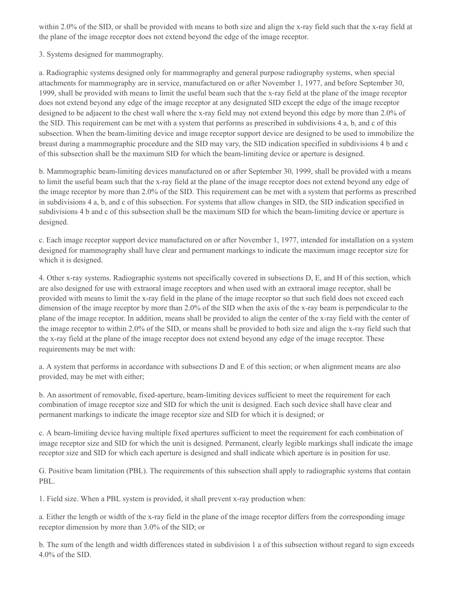within 2.0% of the SID, or shall be provided with means to both size and align the x-ray field such that the x-ray field at the plane of the image receptor does not extend beyond the edge of the image receptor.

3. Systems designed for mammography.

a. Radiographic systems designed only for mammography and general purpose radiography systems, when special attachments for mammography are in service, manufactured on or after November 1, 1977, and before September 30, 1999, shall be provided with means to limit the useful beam such that the x-ray field at the plane of the image receptor does not extend beyond any edge of the image receptor at any designated SID except the edge of the image receptor designed to be adjacent to the chest wall where the x-ray field may not extend beyond this edge by more than 2.0% of the SID. This requirement can be met with a system that performs as prescribed in subdivisions 4 a, b, and c of this subsection. When the beam-limiting device and image receptor support device are designed to be used to immobilize the breast during a mammographic procedure and the SID may vary, the SID indication specified in subdivisions 4 b and c of this subsection shall be the maximum SID for which the beam-limiting device or aperture is designed.

b. Mammographic beam-limiting devices manufactured on or after September 30, 1999, shall be provided with a means to limit the useful beam such that the x-ray field at the plane of the image receptor does not extend beyond any edge of the image receptor by more than 2.0% of the SID. This requirement can be met with a system that performs as prescribed in subdivisions 4 a, b, and c of this subsection. For systems that allow changes in SID, the SID indication specified in subdivisions 4 b and c of this subsection shall be the maximum SID for which the beam-limiting device or aperture is designed.

c. Each image receptor support device manufactured on or after November 1, 1977, intended for installation on a system designed for mammography shall have clear and permanent markings to indicate the maximum image receptor size for which it is designed.

4. Other x-ray systems. Radiographic systems not specifically covered in subsections D, E, and H of this section, which are also designed for use with extraoral image receptors and when used with an extraoral image receptor, shall be provided with means to limit the x-ray field in the plane of the image receptor so that such field does not exceed each dimension of the image receptor by more than 2.0% of the SID when the axis of the x-ray beam is perpendicular to the plane of the image receptor. In addition, means shall be provided to align the center of the x-ray field with the center of the image receptor to within 2.0% of the SID, or means shall be provided to both size and align the x-ray field such that the x-ray field at the plane of the image receptor does not extend beyond any edge of the image receptor. These requirements may be met with:

a. A system that performs in accordance with subsections D and E of this section; or when alignment means are also provided, may be met with either;

b. An assortment of removable, fixed-aperture, beam-limiting devices sufficient to meet the requirement for each combination of image receptor size and SID for which the unit is designed. Each such device shall have clear and permanent markings to indicate the image receptor size and SID for which it is designed; or

c. A beam-limiting device having multiple fixed apertures sufficient to meet the requirement for each combination of image receptor size and SID for which the unit is designed. Permanent, clearly legible markings shall indicate the image receptor size and SID for which each aperture is designed and shall indicate which aperture is in position for use.

G. Positive beam limitation (PBL). The requirements of this subsection shall apply to radiographic systems that contain PBL.

1. Field size. When a PBL system is provided, it shall prevent x-ray production when:

a. Either the length or width of the x-ray field in the plane of the image receptor differs from the corresponding image receptor dimension by more than 3.0% of the SID; or

b. The sum of the length and width differences stated in subdivision 1 a of this subsection without regard to sign exceeds 4.0% of the SID.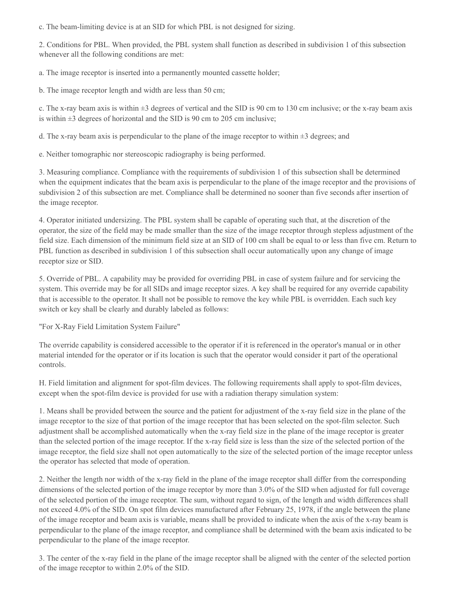c. The beam-limiting device is at an SID for which PBL is not designed for sizing.

2. Conditions for PBL. When provided, the PBL system shall function as described in subdivision 1 of this subsection whenever all the following conditions are met:

a. The image receptor is inserted into a permanently mounted cassette holder;

b. The image receptor length and width are less than 50 cm;

c. The x-ray beam axis is within  $\pm 3$  degrees of vertical and the SID is 90 cm to 130 cm inclusive; or the x-ray beam axis is within  $\pm 3$  degrees of horizontal and the SID is 90 cm to 205 cm inclusive;

d. The x-ray beam axis is perpendicular to the plane of the image receptor to within  $\pm 3$  degrees; and

e. Neither tomographic nor stereoscopic radiography is being performed.

3. Measuring compliance. Compliance with the requirements of subdivision 1 of this subsection shall be determined when the equipment indicates that the beam axis is perpendicular to the plane of the image receptor and the provisions of subdivision 2 of this subsection are met. Compliance shall be determined no sooner than five seconds after insertion of the image receptor.

4. Operator initiated undersizing. The PBL system shall be capable of operating such that, at the discretion of the operator, the size of the field may be made smaller than the size of the image receptor through stepless adjustment of the field size. Each dimension of the minimum field size at an SID of 100 cm shall be equal to or less than five cm. Return to PBL function as described in subdivision 1 of this subsection shall occur automatically upon any change of image receptor size or SID.

5. Override of PBL. A capability may be provided for overriding PBL in case of system failure and for servicing the system. This override may be for all SIDs and image receptor sizes. A key shall be required for any override capability that is accessible to the operator. It shall not be possible to remove the key while PBL is overridden. Each such key switch or key shall be clearly and durably labeled as follows:

"For X-Ray Field Limitation System Failure"

The override capability is considered accessible to the operator if it is referenced in the operator's manual or in other material intended for the operator or if its location is such that the operator would consider it part of the operational controls.

H. Field limitation and alignment for spot-film devices. The following requirements shall apply to spot-film devices, except when the spot-film device is provided for use with a radiation therapy simulation system:

1. Means shall be provided between the source and the patient for adjustment of the x-ray field size in the plane of the image receptor to the size of that portion of the image receptor that has been selected on the spot-film selector. Such adjustment shall be accomplished automatically when the x-ray field size in the plane of the image receptor is greater than the selected portion of the image receptor. If the x-ray field size is less than the size of the selected portion of the image receptor, the field size shall not open automatically to the size of the selected portion of the image receptor unless the operator has selected that mode of operation.

2. Neither the length nor width of the x-ray field in the plane of the image receptor shall differ from the corresponding dimensions of the selected portion of the image receptor by more than 3.0% of the SID when adjusted for full coverage of the selected portion of the image receptor. The sum, without regard to sign, of the length and width differences shall not exceed 4.0% of the SID. On spot film devices manufactured after February 25, 1978, if the angle between the plane of the image receptor and beam axis is variable, means shall be provided to indicate when the axis of the x-ray beam is perpendicular to the plane of the image receptor, and compliance shall be determined with the beam axis indicated to be perpendicular to the plane of the image receptor.

3. The center of the x-ray field in the plane of the image receptor shall be aligned with the center of the selected portion of the image receptor to within 2.0% of the SID.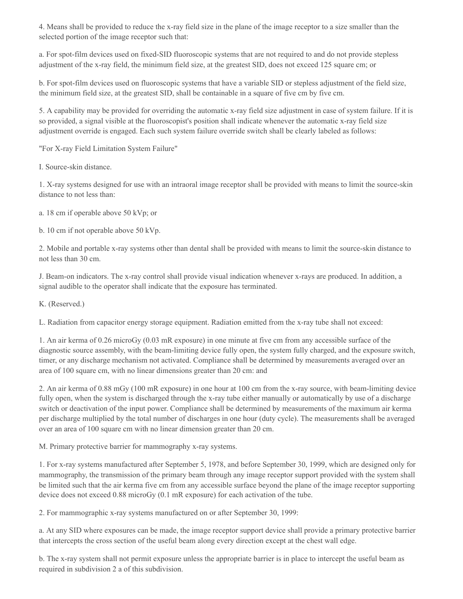4. Means shall be provided to reduce the x-ray field size in the plane of the image receptor to a size smaller than the selected portion of the image receptor such that:

a. For spot-film devices used on fixed-SID fluoroscopic systems that are not required to and do not provide stepless adjustment of the x-ray field, the minimum field size, at the greatest SID, does not exceed 125 square cm; or

b. For spot-film devices used on fluoroscopic systems that have a variable SID or stepless adjustment of the field size, the minimum field size, at the greatest SID, shall be containable in a square of five cm by five cm.

5. A capability may be provided for overriding the automatic x-ray field size adjustment in case of system failure. If it is so provided, a signal visible at the fluoroscopist's position shall indicate whenever the automatic x-ray field size adjustment override is engaged. Each such system failure override switch shall be clearly labeled as follows:

"For X-ray Field Limitation System Failure"

I. Source-skin distance.

1. X-ray systems designed for use with an intraoral image receptor shall be provided with means to limit the source-skin distance to not less than:

a. 18 cm if operable above 50 kVp; or

b. 10 cm if not operable above 50 kVp.

2. Mobile and portable x-ray systems other than dental shall be provided with means to limit the source-skin distance to not less than 30 cm.

J. Beam-on indicators. The x-ray control shall provide visual indication whenever x-rays are produced. In addition, a signal audible to the operator shall indicate that the exposure has terminated.

K. (Reserved.)

L. Radiation from capacitor energy storage equipment. Radiation emitted from the x-ray tube shall not exceed:

1. An air kerma of 0.26 microGy (0.03 mR exposure) in one minute at five cm from any accessible surface of the diagnostic source assembly, with the beam-limiting device fully open, the system fully charged, and the exposure switch, timer, or any discharge mechanism not activated. Compliance shall be determined by measurements averaged over an area of 100 square cm, with no linear dimensions greater than 20 cm: and

2. An air kerma of 0.88 mGy (100 mR exposure) in one hour at 100 cm from the x-ray source, with beam-limiting device fully open, when the system is discharged through the x-ray tube either manually or automatically by use of a discharge switch or deactivation of the input power. Compliance shall be determined by measurements of the maximum air kerma per discharge multiplied by the total number of discharges in one hour (duty cycle). The measurements shall be averaged over an area of 100 square cm with no linear dimension greater than 20 cm.

M. Primary protective barrier for mammography x-ray systems.

1. For x-ray systems manufactured after September 5, 1978, and before September 30, 1999, which are designed only for mammography, the transmission of the primary beam through any image receptor support provided with the system shall be limited such that the air kerma five cm from any accessible surface beyond the plane of the image receptor supporting device does not exceed 0.88 microGy (0.1 mR exposure) for each activation of the tube.

2. For mammographic x-ray systems manufactured on or after September 30, 1999:

a. At any SID where exposures can be made, the image receptor support device shall provide a primary protective barrier that intercepts the cross section of the useful beam along every direction except at the chest wall edge.

b. The x-ray system shall not permit exposure unless the appropriate barrier is in place to intercept the useful beam as required in subdivision 2 a of this subdivision.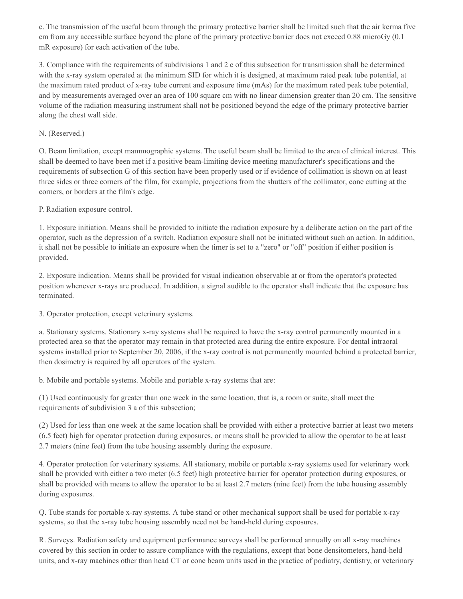c. The transmission of the useful beam through the primary protective barrier shall be limited such that the air kerma five cm from any accessible surface beyond the plane of the primary protective barrier does not exceed 0.88 microGy (0.1 mR exposure) for each activation of the tube.

3. Compliance with the requirements of subdivisions 1 and 2 c of this subsection for transmission shall be determined with the x-ray system operated at the minimum SID for which it is designed, at maximum rated peak tube potential, at the maximum rated product of x-ray tube current and exposure time (mAs) for the maximum rated peak tube potential, and by measurements averaged over an area of 100 square cm with no linear dimension greater than 20 cm. The sensitive volume of the radiation measuring instrument shall not be positioned beyond the edge of the primary protective barrier along the chest wall side.

## N. (Reserved.)

O. Beam limitation, except mammographic systems. The useful beam shall be limited to the area of clinical interest. This shall be deemed to have been met if a positive beam-limiting device meeting manufacturer's specifications and the requirements of subsection G of this section have been properly used or if evidence of collimation is shown on at least three sides or three corners of the film, for example, projections from the shutters of the collimator, cone cutting at the corners, or borders at the film's edge.

P. Radiation exposure control.

1. Exposure initiation. Means shall be provided to initiate the radiation exposure by a deliberate action on the part of the operator, such as the depression of a switch. Radiation exposure shall not be initiated without such an action. In addition, it shall not be possible to initiate an exposure when the timer is set to a "zero" or "off" position if either position is provided.

2. Exposure indication. Means shall be provided for visual indication observable at or from the operator's protected position whenever x-rays are produced. In addition, a signal audible to the operator shall indicate that the exposure has terminated.

3. Operator protection, except veterinary systems.

a. Stationary systems. Stationary x-ray systems shall be required to have the x-ray control permanently mounted in a protected area so that the operator may remain in that protected area during the entire exposure. For dental intraoral systems installed prior to September 20, 2006, if the x-ray control is not permanently mounted behind a protected barrier, then dosimetry is required by all operators of the system.

b. Mobile and portable systems. Mobile and portable x-ray systems that are:

(1) Used continuously for greater than one week in the same location, that is, a room or suite, shall meet the requirements of subdivision 3 a of this subsection;

(2) Used for less than one week at the same location shall be provided with either a protective barrier at least two meters (6.5 feet) high for operator protection during exposures, or means shall be provided to allow the operator to be at least 2.7 meters (nine feet) from the tube housing assembly during the exposure.

4. Operator protection for veterinary systems. All stationary, mobile or portable x-ray systems used for veterinary work shall be provided with either a two meter (6.5 feet) high protective barrier for operator protection during exposures, or shall be provided with means to allow the operator to be at least 2.7 meters (nine feet) from the tube housing assembly during exposures.

Q. Tube stands for portable x-ray systems. A tube stand or other mechanical support shall be used for portable x-ray systems, so that the x-ray tube housing assembly need not be hand-held during exposures.

R. Surveys. Radiation safety and equipment performance surveys shall be performed annually on all x-ray machines covered by this section in order to assure compliance with the regulations, except that bone densitometers, hand-held units, and x-ray machines other than head CT or cone beam units used in the practice of podiatry, dentistry, or veterinary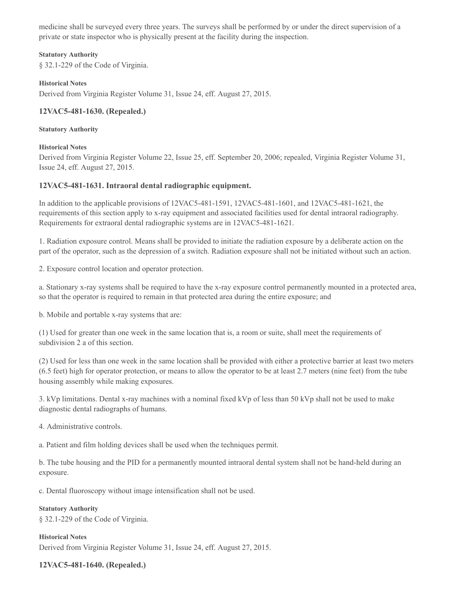medicine shall be surveyed every three years. The surveys shall be performed by or under the direct supervision of a private or state inspector who is physically present at the facility during the inspection.

#### **Statutory Authority**

§ 32.1-229 of the Code of Virginia.

#### **Historical Notes**

Derived from Virginia Register Volume 31, Issue 24, eff. August 27, 2015.

## **12VAC5-481-1630. (Repealed.)**

#### **Statutory Authority**

#### **Historical Notes**

Derived from Virginia Register Volume 22, Issue 25, eff. September 20, 2006; repealed, Virginia Register Volume 31, Issue 24, eff. August 27, 2015.

## **12VAC5-481-1631. Intraoral dental radiographic equipment.**

In addition to the applicable provisions of 12VAC5-481-1591, 12VAC5-481-1601, and 12VAC5-481-1621, the requirements of this section apply to x-ray equipment and associated facilities used for dental intraoral radiography. Requirements for extraoral dental radiographic systems are in 12VAC5-481-1621.

1. Radiation exposure control. Means shall be provided to initiate the radiation exposure by a deliberate action on the part of the operator, such as the depression of a switch. Radiation exposure shall not be initiated without such an action.

2. Exposure control location and operator protection.

a. Stationary x-ray systems shall be required to have the x-ray exposure control permanently mounted in a protected area, so that the operator is required to remain in that protected area during the entire exposure; and

b. Mobile and portable x-ray systems that are:

(1) Used for greater than one week in the same location that is, a room or suite, shall meet the requirements of subdivision 2 a of this section.

(2) Used for less than one week in the same location shall be provided with either a protective barrier at least two meters (6.5 feet) high for operator protection, or means to allow the operator to be at least 2.7 meters (nine feet) from the tube housing assembly while making exposures.

3. kVp limitations. Dental x-ray machines with a nominal fixed kVp of less than 50 kVp shall not be used to make diagnostic dental radiographs of humans.

4. Administrative controls.

a. Patient and film holding devices shall be used when the techniques permit.

b. The tube housing and the PID for a permanently mounted intraoral dental system shall not be hand-held during an exposure.

c. Dental fluoroscopy without image intensification shall not be used.

#### **Statutory Authority** § 32.1-229 of the Code of Virginia.

**Historical Notes** Derived from Virginia Register Volume 31, Issue 24, eff. August 27, 2015.

## **12VAC5-481-1640. (Repealed.)**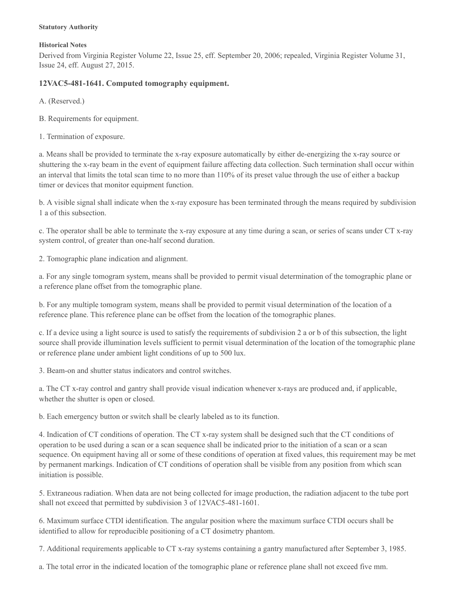#### **Statutory Authority**

#### **Historical Notes**

Derived from Virginia Register Volume 22, Issue 25, eff. September 20, 2006; repealed, Virginia Register Volume 31, Issue 24, eff. August 27, 2015.

## **12VAC5-481-1641. Computed tomography equipment.**

A. (Reserved.)

B. Requirements for equipment.

1. Termination of exposure.

a. Means shall be provided to terminate the x-ray exposure automatically by either de-energizing the x-ray source or shuttering the x-ray beam in the event of equipment failure affecting data collection. Such termination shall occur within an interval that limits the total scan time to no more than 110% of its preset value through the use of either a backup timer or devices that monitor equipment function.

b. A visible signal shall indicate when the x-ray exposure has been terminated through the means required by subdivision 1 a of this subsection.

c. The operator shall be able to terminate the x-ray exposure at any time during a scan, or series of scans under CT x-ray system control, of greater than one-half second duration.

2. Tomographic plane indication and alignment.

a. For any single tomogram system, means shall be provided to permit visual determination of the tomographic plane or a reference plane offset from the tomographic plane.

b. For any multiple tomogram system, means shall be provided to permit visual determination of the location of a reference plane. This reference plane can be offset from the location of the tomographic planes.

c. If a device using a light source is used to satisfy the requirements of subdivision 2 a or b of this subsection, the light source shall provide illumination levels sufficient to permit visual determination of the location of the tomographic plane or reference plane under ambient light conditions of up to 500 lux.

3. Beam-on and shutter status indicators and control switches.

a. The CT x-ray control and gantry shall provide visual indication whenever x-rays are produced and, if applicable, whether the shutter is open or closed.

b. Each emergency button or switch shall be clearly labeled as to its function.

4. Indication of CT conditions of operation. The CT x-ray system shall be designed such that the CT conditions of operation to be used during a scan or a scan sequence shall be indicated prior to the initiation of a scan or a scan sequence. On equipment having all or some of these conditions of operation at fixed values, this requirement may be met by permanent markings. Indication of CT conditions of operation shall be visible from any position from which scan initiation is possible.

5. Extraneous radiation. When data are not being collected for image production, the radiation adjacent to the tube port shall not exceed that permitted by subdivision 3 of 12VAC5-481-1601.

6. Maximum surface CTDI identification. The angular position where the maximum surface CTDI occurs shall be identified to allow for reproducible positioning of a CT dosimetry phantom.

7. Additional requirements applicable to CT x-ray systems containing a gantry manufactured after September 3, 1985.

a. The total error in the indicated location of the tomographic plane or reference plane shall not exceed five mm.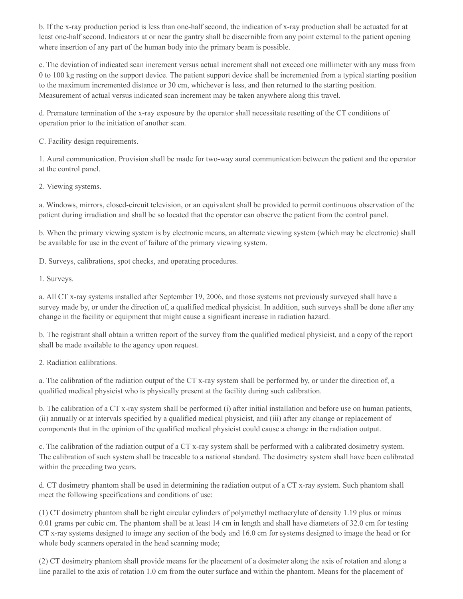b. If the x-ray production period is less than one-half second, the indication of x-ray production shall be actuated for at least one-half second. Indicators at or near the gantry shall be discernible from any point external to the patient opening where insertion of any part of the human body into the primary beam is possible.

c. The deviation of indicated scan increment versus actual increment shall not exceed one millimeter with any mass from 0 to 100 kg resting on the support device. The patient support device shall be incremented from a typical starting position to the maximum incremented distance or 30 cm, whichever is less, and then returned to the starting position. Measurement of actual versus indicated scan increment may be taken anywhere along this travel.

d. Premature termination of the x-ray exposure by the operator shall necessitate resetting of the CT conditions of operation prior to the initiation of another scan.

C. Facility design requirements.

1. Aural communication. Provision shall be made for two-way aural communication between the patient and the operator at the control panel.

2. Viewing systems.

a. Windows, mirrors, closed-circuit television, or an equivalent shall be provided to permit continuous observation of the patient during irradiation and shall be so located that the operator can observe the patient from the control panel.

b. When the primary viewing system is by electronic means, an alternate viewing system (which may be electronic) shall be available for use in the event of failure of the primary viewing system.

D. Surveys, calibrations, spot checks, and operating procedures.

1. Surveys.

a. All CT x-ray systems installed after September 19, 2006, and those systems not previously surveyed shall have a survey made by, or under the direction of, a qualified medical physicist. In addition, such surveys shall be done after any change in the facility or equipment that might cause a significant increase in radiation hazard.

b. The registrant shall obtain a written report of the survey from the qualified medical physicist, and a copy of the report shall be made available to the agency upon request.

2. Radiation calibrations.

a. The calibration of the radiation output of the CT x-ray system shall be performed by, or under the direction of, a qualified medical physicist who is physically present at the facility during such calibration.

b. The calibration of a CT x-ray system shall be performed (i) after initial installation and before use on human patients, (ii) annually or at intervals specified by a qualified medical physicist, and (iii) after any change or replacement of components that in the opinion of the qualified medical physicist could cause a change in the radiation output.

c. The calibration of the radiation output of a CT x-ray system shall be performed with a calibrated dosimetry system. The calibration of such system shall be traceable to a national standard. The dosimetry system shall have been calibrated within the preceding two years.

d. CT dosimetry phantom shall be used in determining the radiation output of a CT x-ray system. Such phantom shall meet the following specifications and conditions of use:

(1) CT dosimetry phantom shall be right circular cylinders of polymethyl methacrylate of density 1.19 plus or minus 0.01 grams per cubic cm. The phantom shall be at least 14 cm in length and shall have diameters of 32.0 cm for testing CT x-ray systems designed to image any section of the body and 16.0 cm for systems designed to image the head or for whole body scanners operated in the head scanning mode;

(2) CT dosimetry phantom shall provide means for the placement of a dosimeter along the axis of rotation and along a line parallel to the axis of rotation 1.0 cm from the outer surface and within the phantom. Means for the placement of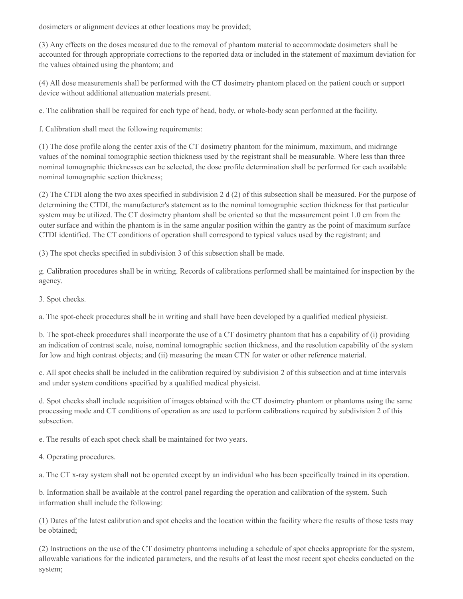dosimeters or alignment devices at other locations may be provided;

(3) Any effects on the doses measured due to the removal of phantom material to accommodate dosimeters shall be accounted for through appropriate corrections to the reported data or included in the statement of maximum deviation for the values obtained using the phantom; and

(4) All dose measurements shall be performed with the CT dosimetry phantom placed on the patient couch or support device without additional attenuation materials present.

e. The calibration shall be required for each type of head, body, or whole-body scan performed at the facility.

f. Calibration shall meet the following requirements:

(1) The dose profile along the center axis of the CT dosimetry phantom for the minimum, maximum, and midrange values of the nominal tomographic section thickness used by the registrant shall be measurable. Where less than three nominal tomographic thicknesses can be selected, the dose profile determination shall be performed for each available nominal tomographic section thickness;

(2) The CTDI along the two axes specified in subdivision 2 d (2) of this subsection shall be measured. For the purpose of determining the CTDI, the manufacturer's statement as to the nominal tomographic section thickness for that particular system may be utilized. The CT dosimetry phantom shall be oriented so that the measurement point 1.0 cm from the outer surface and within the phantom is in the same angular position within the gantry as the point of maximum surface CTDI identified. The CT conditions of operation shall correspond to typical values used by the registrant; and

(3) The spot checks specified in subdivision 3 of this subsection shall be made.

g. Calibration procedures shall be in writing. Records of calibrations performed shall be maintained for inspection by the agency.

3. Spot checks.

a. The spot-check procedures shall be in writing and shall have been developed by a qualified medical physicist.

b. The spot-check procedures shall incorporate the use of a CT dosimetry phantom that has a capability of (i) providing an indication of contrast scale, noise, nominal tomographic section thickness, and the resolution capability of the system for low and high contrast objects; and (ii) measuring the mean CTN for water or other reference material.

c. All spot checks shall be included in the calibration required by subdivision 2 of this subsection and at time intervals and under system conditions specified by a qualified medical physicist.

d. Spot checks shall include acquisition of images obtained with the CT dosimetry phantom or phantoms using the same processing mode and CT conditions of operation as are used to perform calibrations required by subdivision 2 of this subsection.

e. The results of each spot check shall be maintained for two years.

4. Operating procedures.

a. The CT x-ray system shall not be operated except by an individual who has been specifically trained in its operation.

b. Information shall be available at the control panel regarding the operation and calibration of the system. Such information shall include the following:

(1) Dates of the latest calibration and spot checks and the location within the facility where the results of those tests may be obtained;

(2) Instructions on the use of the CT dosimetry phantoms including a schedule of spot checks appropriate for the system, allowable variations for the indicated parameters, and the results of at least the most recent spot checks conducted on the system;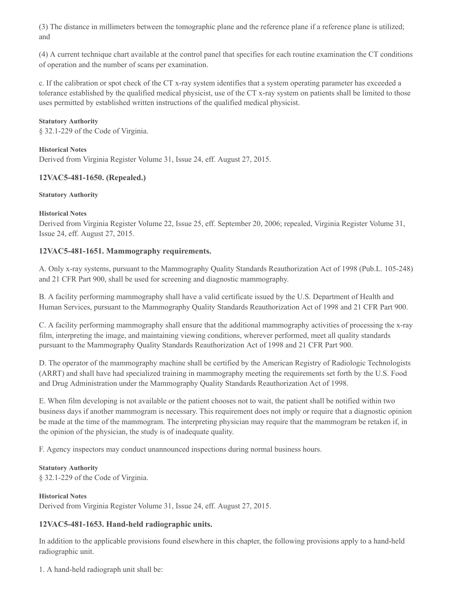(3) The distance in millimeters between the tomographic plane and the reference plane if a reference plane is utilized; and

(4) A current technique chart available at the control panel that specifies for each routine examination the CT conditions of operation and the number of scans per examination.

c. If the calibration or spot check of the CT x-ray system identifies that a system operating parameter has exceeded a tolerance established by the qualified medical physicist, use of the CT x-ray system on patients shall be limited to those uses permitted by established written instructions of the qualified medical physicist.

#### **Statutory Authority**

§ 32.1-229 of the Code of Virginia.

#### **Historical Notes**

Derived from Virginia Register Volume 31, Issue 24, eff. August 27, 2015.

## **12VAC5-481-1650. (Repealed.)**

#### **Statutory Authority**

#### **Historical Notes**

Derived from Virginia Register Volume 22, Issue 25, eff. September 20, 2006; repealed, Virginia Register Volume 31, Issue 24, eff. August 27, 2015.

## **12VAC5-481-1651. Mammography requirements.**

A. Only x-ray systems, pursuant to the Mammography Quality Standards Reauthorization Act of 1998 (Pub.L. 105-248) and 21 CFR Part 900, shall be used for screening and diagnostic mammography.

B. A facility performing mammography shall have a valid certificate issued by the U.S. Department of Health and Human Services, pursuant to the Mammography Quality Standards Reauthorization Act of 1998 and 21 CFR Part 900.

C. A facility performing mammography shall ensure that the additional mammography activities of processing the x-ray film, interpreting the image, and maintaining viewing conditions, wherever performed, meet all quality standards pursuant to the Mammography Quality Standards Reauthorization Act of 1998 and 21 CFR Part 900.

D. The operator of the mammography machine shall be certified by the American Registry of Radiologic Technologists (ARRT) and shall have had specialized training in mammography meeting the requirements set forth by the U.S. Food and Drug Administration under the Mammography Quality Standards Reauthorization Act of 1998.

E. When film developing is not available or the patient chooses not to wait, the patient shall be notified within two business days if another mammogram is necessary. This requirement does not imply or require that a diagnostic opinion be made at the time of the mammogram. The interpreting physician may require that the mammogram be retaken if, in the opinion of the physician, the study is of inadequate quality.

F. Agency inspectors may conduct unannounced inspections during normal business hours.

# **Statutory Authority**

§ 32.1-229 of the Code of Virginia.

## **Historical Notes**

Derived from Virginia Register Volume 31, Issue 24, eff. August 27, 2015.

## **12VAC5-481-1653. Hand-held radiographic units.**

In addition to the applicable provisions found elsewhere in this chapter, the following provisions apply to a hand-held radiographic unit.

1. A hand-held radiograph unit shall be: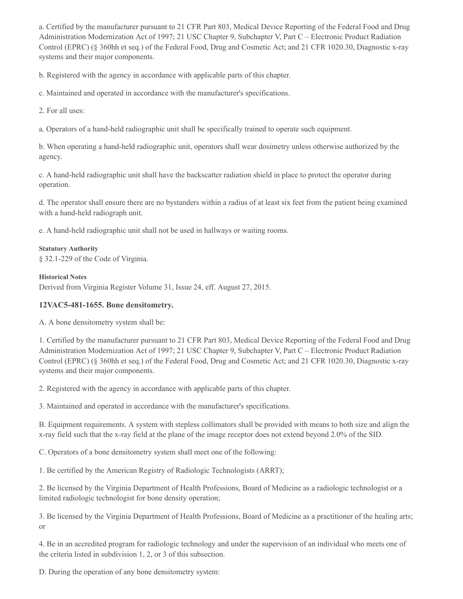a. Certified by the manufacturer pursuant to 21 CFR Part 803, Medical Device Reporting of the Federal Food and Drug Administration Modernization Act of 1997; 21 USC Chapter 9, Subchapter V, Part C – Electronic Product Radiation Control (EPRC) (§ 360hh et seq.) of the Federal Food, Drug and Cosmetic Act; and 21 CFR 1020.30, Diagnostic x-ray systems and their major components.

b. Registered with the agency in accordance with applicable parts of this chapter.

c. Maintained and operated in accordance with the manufacturer's specifications.

2. For all uses:

a. Operators of a hand-held radiographic unit shall be specifically trained to operate such equipment.

b. When operating a hand-held radiographic unit, operators shall wear dosimetry unless otherwise authorized by the agency.

c. A hand-held radiographic unit shall have the backscatter radiation shield in place to protect the operator during operation.

d. The operator shall ensure there are no bystanders within a radius of at least six feet from the patient being examined with a hand-held radiograph unit.

e. A hand-held radiographic unit shall not be used in hallways or waiting rooms.

#### **Statutory Authority**

§ 32.1-229 of the Code of Virginia.

#### **Historical Notes**

Derived from Virginia Register Volume 31, Issue 24, eff. August 27, 2015.

## **12VAC5-481-1655. Bone densitometry.**

A. A bone densitometry system shall be:

1. Certified by the manufacturer pursuant to 21 CFR Part 803, Medical Device Reporting of the Federal Food and Drug Administration Modernization Act of 1997; 21 USC Chapter 9, Subchapter V, Part C – Electronic Product Radiation Control (EPRC) (§ 360hh et seq.) of the Federal Food, Drug and Cosmetic Act; and 21 CFR 1020.30, Diagnostic x-ray systems and their major components.

2. Registered with the agency in accordance with applicable parts of this chapter.

3. Maintained and operated in accordance with the manufacturer's specifications.

B. Equipment requirements. A system with stepless collimators shall be provided with means to both size and align the x-ray field such that the x-ray field at the plane of the image receptor does not extend beyond 2.0% of the SID.

C. Operators of a bone densitometry system shall meet one of the following:

1. Be certified by the American Registry of Radiologic Technologists (ARRT);

2. Be licensed by the Virginia Department of Health Professions, Board of Medicine as a radiologic technologist or a limited radiologic technologist for bone density operation;

3. Be licensed by the Virginia Department of Health Professions, Board of Medicine as a practitioner of the healing arts; or

4. Be in an accredited program for radiologic technology and under the supervision of an individual who meets one of the criteria listed in subdivision 1, 2, or 3 of this subsection.

D. During the operation of any bone densitometry system: